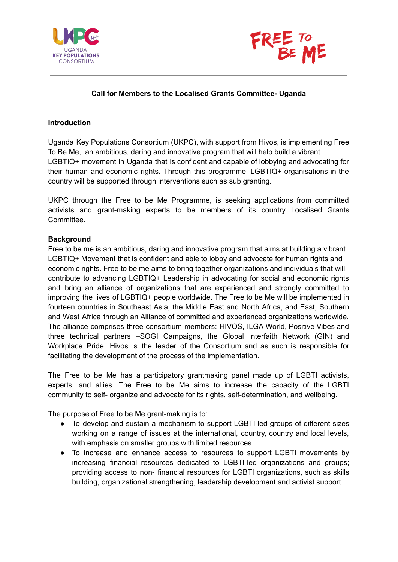



### **Call for Members to the Localised Grants Committee- Uganda**

#### **Introduction**

Uganda Key Populations Consortium (UKPC), with support from Hivos, is implementing Free To Be Me, an ambitious, daring and innovative program that will help build a vibrant LGBTIQ+ movement in Uganda that is confident and capable of lobbying and advocating for their human and economic rights. Through this programme, LGBTIQ+ organisations in the country will be supported through interventions such as sub granting.

UKPC through the Free to be Me Programme, is seeking applications from committed activists and grant-making experts to be members of its country Localised Grants Committee.

#### **Background**

Free to be me is an ambitious, daring and innovative program that aims at building a vibrant LGBTIQ+ Movement that is confident and able to lobby and advocate for human rights and economic rights. Free to be me aims to bring together organizations and individuals that will contribute to advancing LGBTIQ+ Leadership in advocating for social and economic rights and bring an alliance of organizations that are experienced and strongly committed to improving the lives of LGBTIQ+ people worldwide. The Free to be Me will be implemented in fourteen countries in Southeast Asia, the Middle East and North Africa, and East, Southern and West Africa through an Alliance of committed and experienced organizations worldwide. The alliance comprises three consortium members: HIVOS, ILGA World, Positive Vibes and three technical partners –SOGI Campaigns, the Global Interfaith Network (GIN) and Workplace Pride. Hivos is the leader of the Consortium and as such is responsible for facilitating the development of the process of the implementation.

The Free to be Me has a participatory grantmaking panel made up of LGBTI activists, experts, and allies. The Free to be Me aims to increase the capacity of the LGBTI community to self- organize and advocate for its rights, self-determination, and wellbeing.

The purpose of Free to be Me grant-making is to:

- To develop and sustain a mechanism to support LGBTI-led groups of different sizes working on a range of issues at the international, country, country and local levels, with emphasis on smaller groups with limited resources.
- To increase and enhance access to resources to support LGBTI movements by increasing financial resources dedicated to LGBTI-led organizations and groups; providing access to non- financial resources for LGBTI organizations, such as skills building, organizational strengthening, leadership development and activist support.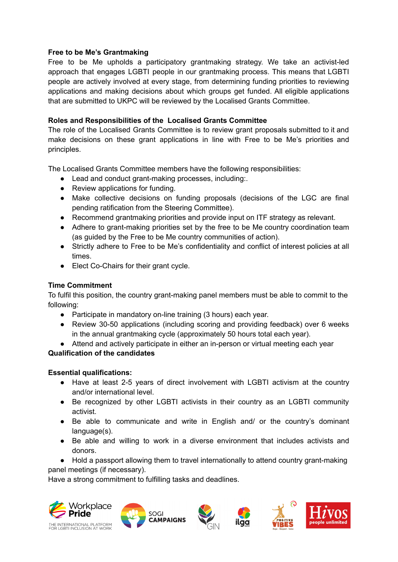# **Free to be Me's Grantmaking**

Free to be Me upholds a participatory grantmaking strategy. We take an activist-led approach that engages LGBTI people in our grantmaking process. This means that LGBTI people are actively involved at every stage, from determining funding priorities to reviewing applications and making decisions about which groups get funded. All eligible applications that are submitted to UKPC will be reviewed by the Localised Grants Committee.

# **Roles and Responsibilities of the Localised Grants Committee**

The role of the Localised Grants Committee is to review grant proposals submitted to it and make decisions on these grant applications in line with Free to be Me's priorities and principles.

The Localised Grants Committee members have the following responsibilities:

- Lead and conduct grant-making processes, including:.
- Review applications for funding.
- Make collective decisions on funding proposals (decisions of the LGC are final pending ratification from the Steering Committee).
- Recommend grantmaking priorities and provide input on ITF strategy as relevant.
- Adhere to grant-making priorities set by the free to be Me country coordination team (as guided by the Free to be Me country communities of action).
- Strictly adhere to Free to be Me's confidentiality and conflict of interest policies at all times.
- Elect Co-Chairs for their grant cycle.

# **Time Commitment**

To fulfil this position, the country grant-making panel members must be able to commit to the following:

- Participate in mandatory on-line training (3 hours) each year.
- Review 30-50 applications (including scoring and providing feedback) over 6 weeks in the annual grantmaking cycle (approximately 50 hours total each year).
- Attend and actively participate in either an in-person or virtual meeting each year

# **Qualification of the candidates**

## **Essential qualifications:**

- Have at least 2-5 years of direct involvement with LGBTI activism at the country and/or international level.
- Be recognized by other LGBTI activists in their country as an LGBTI community activist.
- Be able to communicate and write in English and/ or the country's dominant language(s).
- Be able and willing to work in a diverse environment that includes activists and donors.
- Hold a passport allowing them to travel internationally to attend country grant-making panel meetings (if necessary).

Have a strong commitment to fulfilling tasks and deadlines.